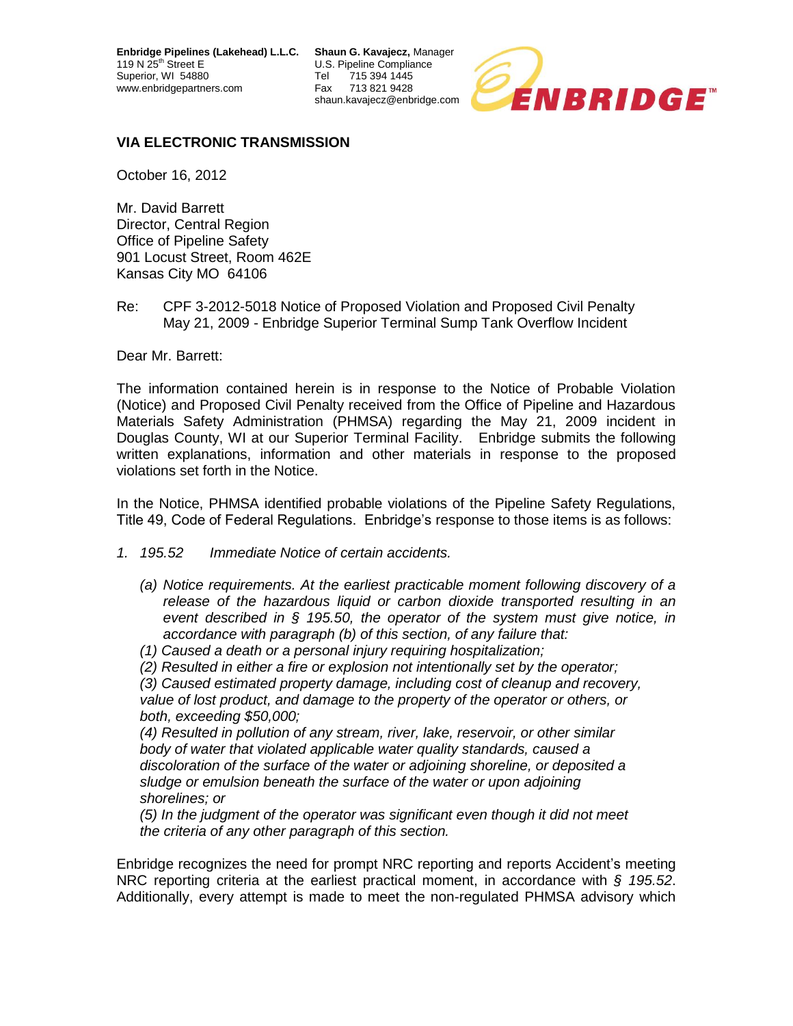**Enbridge Pipelines (Lakehead) L.L.C. Shaun G. Kavajecz,** Manager 119 N 25<sup>th</sup> Street E **Network Street Blue Street E** U.S. Pipeline Compliance **Superior** Tel **T** 715 394 1445 Superior, WI 54880 Tel<br>www.enbridgepartners.com Fax www.enbridgepartners.com Fax 713 821 9428

shaun.kavajecz@enbridge.com



## **VIA ELECTRONIC TRANSMISSION**

October 16, 2012

Mr. David Barrett Director, Central Region Office of Pipeline Safety 901 Locust Street, Room 462E Kansas City MO 64106

Re: CPF 3-2012-5018 Notice of Proposed Violation and Proposed Civil Penalty May 21, 2009 - Enbridge Superior Terminal Sump Tank Overflow Incident

Dear Mr. Barrett:

The information contained herein is in response to the Notice of Probable Violation (Notice) and Proposed Civil Penalty received from the Office of Pipeline and Hazardous Materials Safety Administration (PHMSA) regarding the May 21, 2009 incident in Douglas County, WI at our Superior Terminal Facility. Enbridge submits the following written explanations, information and other materials in response to the proposed violations set forth in the Notice.

In the Notice, PHMSA identified probable violations of the Pipeline Safety Regulations, Title 49, Code of Federal Regulations. Enbridge's response to those items is as follows:

- *1. 195.52 Immediate Notice of certain accidents.*
	- *(a) Notice requirements. At the earliest practicable moment following discovery of a release of the hazardous liquid or carbon dioxide transported resulting in an event described in § 195.50, the operator of the system must give notice, in accordance with paragraph (b) of this section, of any failure that:*
	- *(1) Caused a death or a personal injury requiring hospitalization;*
	- *(2) Resulted in either a fire or explosion not intentionally set by the operator;*

*(3) Caused estimated property damage, including cost of cleanup and recovery, value of lost product, and damage to the property of the operator or others, or both, exceeding \$50,000;*

*(4) Resulted in pollution of any stream, river, lake, reservoir, or other similar body of water that violated applicable water quality standards, caused a discoloration of the surface of the water or adjoining shoreline, or deposited a sludge or emulsion beneath the surface of the water or upon adjoining shorelines; or*

*(5) In the judgment of the operator was significant even though it did not meet the criteria of any other paragraph of this section.*

Enbridge recognizes the need for prompt NRC reporting and reports Accident's meeting NRC reporting criteria at the earliest practical moment, in accordance with *§ 195.52*. Additionally, every attempt is made to meet the non-regulated PHMSA advisory which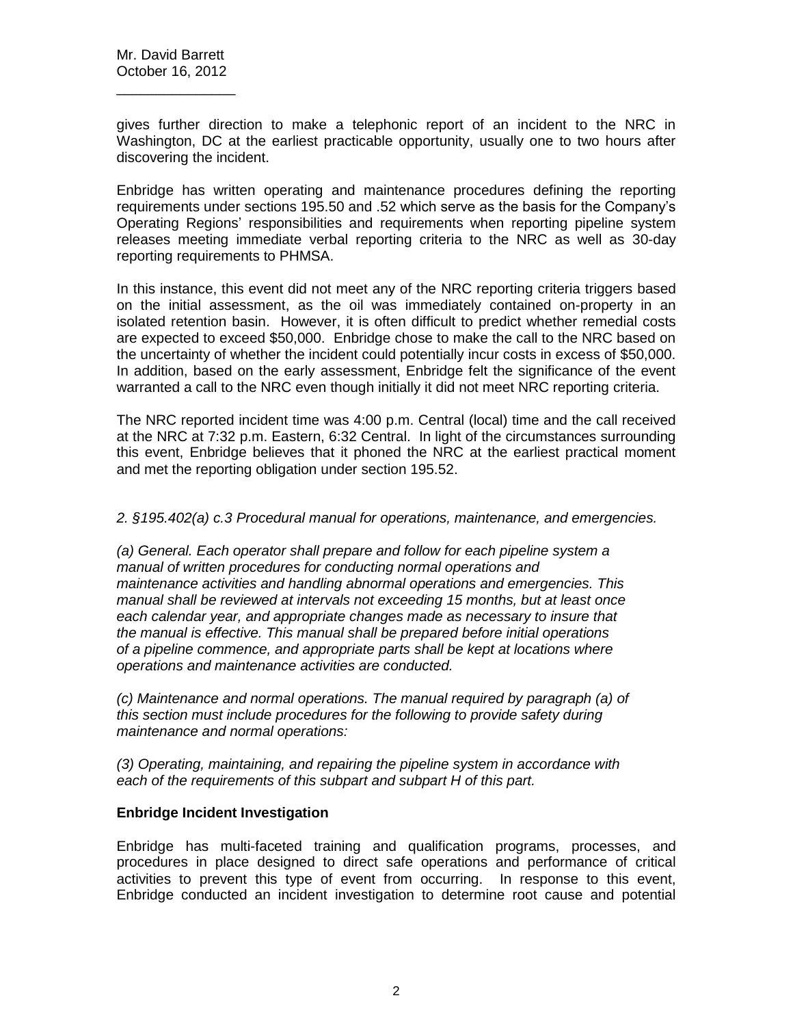gives further direction to make a telephonic report of an incident to the NRC in Washington, DC at the earliest practicable opportunity, usually one to two hours after discovering the incident.

Enbridge has written operating and maintenance procedures defining the reporting requirements under sections 195.50 and .52 which serve as the basis for the Company's Operating Regions' responsibilities and requirements when reporting pipeline system releases meeting immediate verbal reporting criteria to the NRC as well as 30-day reporting requirements to PHMSA.

In this instance, this event did not meet any of the NRC reporting criteria triggers based on the initial assessment, as the oil was immediately contained on-property in an isolated retention basin. However, it is often difficult to predict whether remedial costs are expected to exceed \$50,000. Enbridge chose to make the call to the NRC based on the uncertainty of whether the incident could potentially incur costs in excess of \$50,000. In addition, based on the early assessment, Enbridge felt the significance of the event warranted a call to the NRC even though initially it did not meet NRC reporting criteria.

The NRC reported incident time was 4:00 p.m. Central (local) time and the call received at the NRC at 7:32 p.m. Eastern, 6:32 Central. In light of the circumstances surrounding this event, Enbridge believes that it phoned the NRC at the earliest practical moment and met the reporting obligation under section 195.52.

*2. §195.402(a) c.3 Procedural manual for operations, maintenance, and emergencies.*

*(a) General. Each operator shall prepare and follow for each pipeline system a manual of written procedures for conducting normal operations and maintenance activities and handling abnormal operations and emergencies. This manual shall be reviewed at intervals not exceeding 15 months, but at least once each calendar year, and appropriate changes made as necessary to insure that the manual is effective. This manual shall be prepared before initial operations of a pipeline commence, and appropriate parts shall be kept at locations where operations and maintenance activities are conducted.*

*(c) Maintenance and normal operations. The manual required by paragraph (a) of this section must include procedures for the following to provide safety during maintenance and normal operations:*

*(3) Operating, maintaining, and repairing the pipeline system in accordance with each of the requirements of this subpart and subpart H of this part.*

## **Enbridge Incident Investigation**

Enbridge has multi-faceted training and qualification programs, processes, and procedures in place designed to direct safe operations and performance of critical activities to prevent this type of event from occurring. In response to this event, Enbridge conducted an incident investigation to determine root cause and potential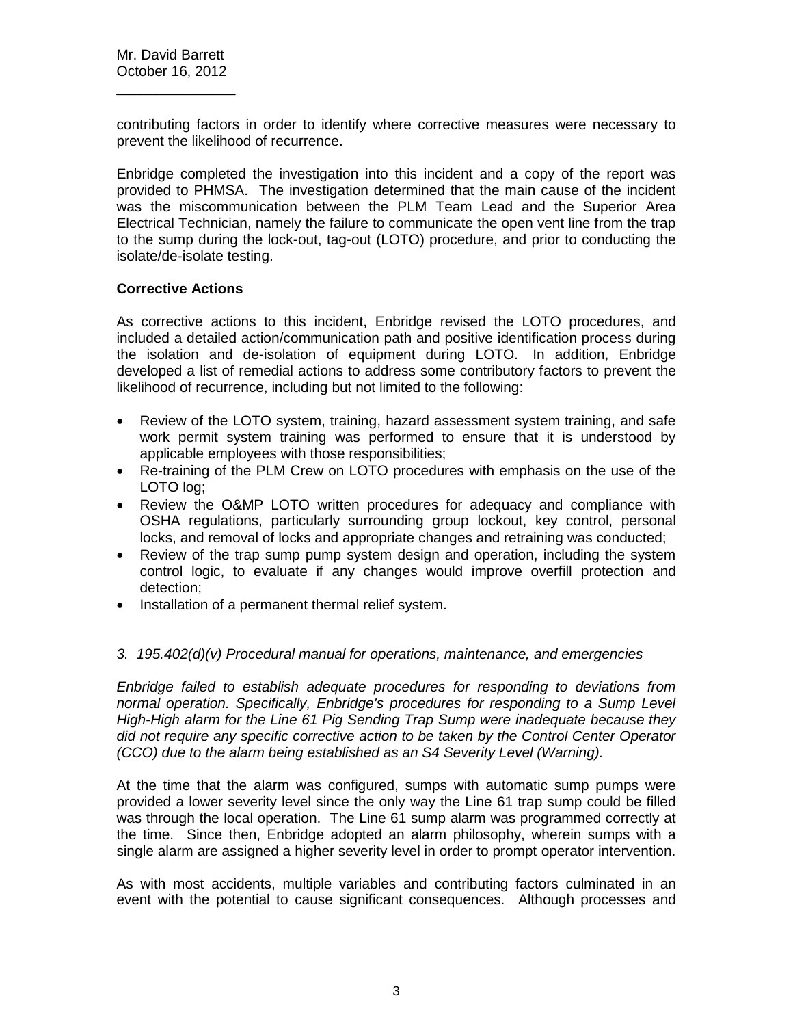contributing factors in order to identify where corrective measures were necessary to prevent the likelihood of recurrence.

Enbridge completed the investigation into this incident and a copy of the report was provided to PHMSA. The investigation determined that the main cause of the incident was the miscommunication between the PLM Team Lead and the Superior Area Electrical Technician, namely the failure to communicate the open vent line from the trap to the sump during the lock-out, tag-out (LOTO) procedure, and prior to conducting the isolate/de-isolate testing.

## **Corrective Actions**

As corrective actions to this incident, Enbridge revised the LOTO procedures, and included a detailed action/communication path and positive identification process during the isolation and de-isolation of equipment during LOTO. In addition, Enbridge developed a list of remedial actions to address some contributory factors to prevent the likelihood of recurrence, including but not limited to the following:

- Review of the LOTO system, training, hazard assessment system training, and safe work permit system training was performed to ensure that it is understood by applicable employees with those responsibilities;
- Re-training of the PLM Crew on LOTO procedures with emphasis on the use of the LOTO log;
- Review the O&MP LOTO written procedures for adequacy and compliance with OSHA regulations, particularly surrounding group lockout, key control, personal locks, and removal of locks and appropriate changes and retraining was conducted;
- Review of the trap sump pump system design and operation, including the system control logic, to evaluate if any changes would improve overfill protection and detection;
- Installation of a permanent thermal relief system.

## *3. 195.402(d)(v) Procedural manual for operations, maintenance, and emergencies*

*Enbridge failed to establish adequate procedures for responding to deviations from normal operation. Specifically, Enbridge's procedures for responding to a Sump Level High-High alarm for the Line 61 Pig Sending Trap Sump were inadequate because they did not require any specific corrective action to be taken by the Control Center Operator (CCO) due to the alarm being established as an S4 Severity Level (Warning).*

At the time that the alarm was configured, sumps with automatic sump pumps were provided a lower severity level since the only way the Line 61 trap sump could be filled was through the local operation. The Line 61 sump alarm was programmed correctly at the time. Since then, Enbridge adopted an alarm philosophy, wherein sumps with a single alarm are assigned a higher severity level in order to prompt operator intervention.

As with most accidents, multiple variables and contributing factors culminated in an event with the potential to cause significant consequences. Although processes and